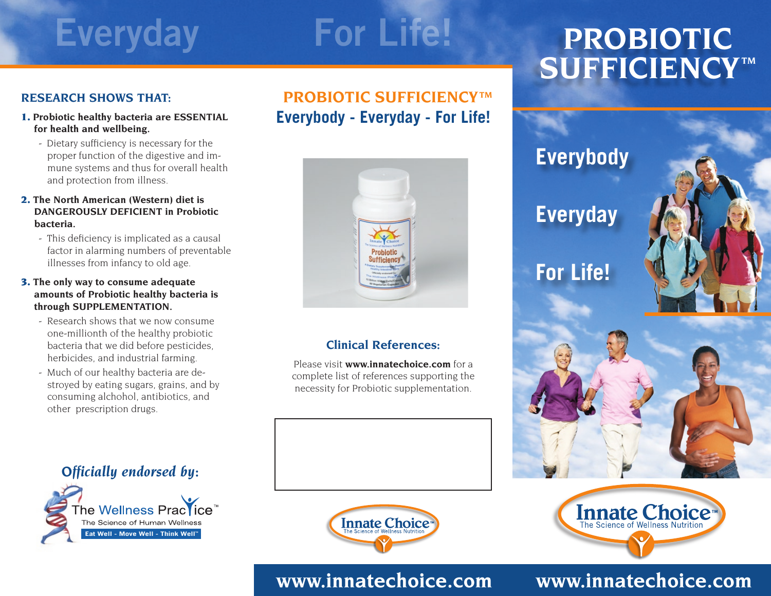## **Everyday For Life!**

## **PROBIOTIC**  $\overline{\textbf{SUFFICIENCY}}$

## **RESEARCH SHOWS THAT:**

- 1. **Probiotic healthy bacteria are ESSENTIAL for health and wellbeing.**
	- Dietary sufficiency is necessary for the proper function of the digestive and immune systems and thus for overall health and protection from illness.

#### 2. **The North American (Western) diet is DANGEROUSLY DEFICIENT in Probiotic bacteria.**

- This deficiency is implicated as a causal factor in alarming numbers of preventable illnesses from infancy to old age.

#### 3. **The only way to consume adequate amounts of Probiotic healthy bacteria is through supplementation.**

- Research shows that we now consume one-millionth of the healthy probiotic bacteria that we did before pesticides, herbicides, and industrial farming.
- Much of our healthy bacteria are destroyed by eating sugars, grains, and by consuming alchohol, antibiotics, and other prescription drugs.

## **Everybody - Everyday - For Life! PROBIOTIC SUFFICIENCYTM**



## **Clinical References:**

Please visit **www.innatechoice.com** for a complete list of references supporting the necessity for Probiotic supplementation.



# Innate Choice

## *Officially endorsed by:*





## **www.innatechoice.com**

## **www.innatechoice.com**